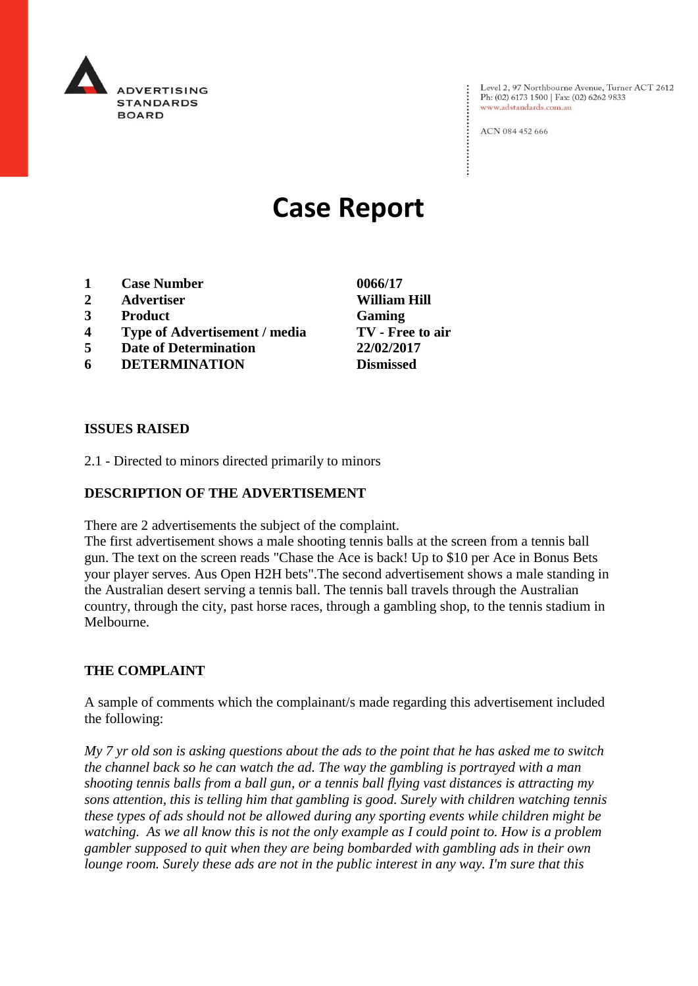

Level 2, 97 Northbourne Avenue, Turner ACT 2612 Ph: (02) 6173 1500 | Fax: (02) 6262 9833 www.adstandards.com.au

ACN 084 452 666

# **Case Report**

- **1 Case Number 0066/17**
- **2 Advertiser William Hill**
- **3 Product Gaming**
- **4 Type of Advertisement / media TV - Free to air**
- **5 Date of Determination 22/02/2017**
- **6 DETERMINATION Dismissed**

**ISSUES RAISED**

2.1 - Directed to minors directed primarily to minors

## **DESCRIPTION OF THE ADVERTISEMENT**

There are 2 advertisements the subject of the complaint.

The first advertisement shows a male shooting tennis balls at the screen from a tennis ball gun. The text on the screen reads "Chase the Ace is back! Up to \$10 per Ace in Bonus Bets your player serves. Aus Open H2H bets".The second advertisement shows a male standing in the Australian desert serving a tennis ball. The tennis ball travels through the Australian country, through the city, past horse races, through a gambling shop, to the tennis stadium in Melbourne.

## **THE COMPLAINT**

A sample of comments which the complainant/s made regarding this advertisement included the following:

*My 7 yr old son is asking questions about the ads to the point that he has asked me to switch the channel back so he can watch the ad. The way the gambling is portrayed with a man shooting tennis balls from a ball gun, or a tennis ball flying vast distances is attracting my sons attention, this is telling him that gambling is good. Surely with children watching tennis these types of ads should not be allowed during any sporting events while children might be watching. As we all know this is not the only example as I could point to. How is a problem gambler supposed to quit when they are being bombarded with gambling ads in their own lounge room. Surely these ads are not in the public interest in any way. I'm sure that this*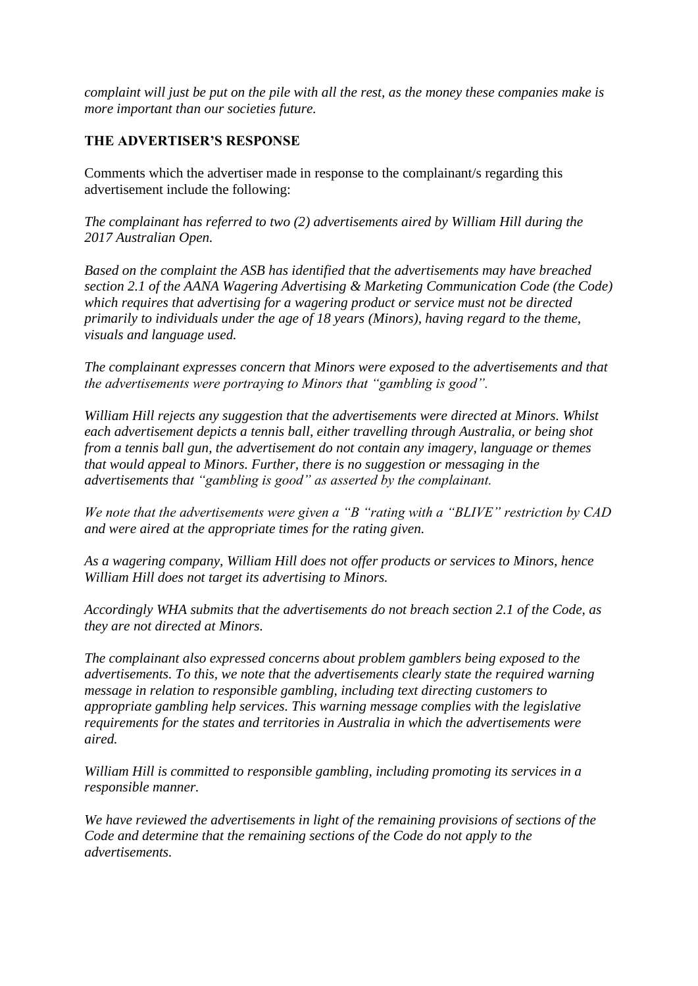*complaint will just be put on the pile with all the rest, as the money these companies make is more important than our societies future.*

# **THE ADVERTISER'S RESPONSE**

Comments which the advertiser made in response to the complainant/s regarding this advertisement include the following:

*The complainant has referred to two (2) advertisements aired by William Hill during the 2017 Australian Open.*

*Based on the complaint the ASB has identified that the advertisements may have breached section 2.1 of the AANA Wagering Advertising & Marketing Communication Code (the Code) which requires that advertising for a wagering product or service must not be directed primarily to individuals under the age of 18 years (Minors), having regard to the theme, visuals and language used.*

*The complainant expresses concern that Minors were exposed to the advertisements and that the advertisements were portraying to Minors that "gambling is good".*

*William Hill rejects any suggestion that the advertisements were directed at Minors. Whilst each advertisement depicts a tennis ball, either travelling through Australia, or being shot from a tennis ball gun, the advertisement do not contain any imagery, language or themes that would appeal to Minors. Further, there is no suggestion or messaging in the advertisements that "gambling is good" as asserted by the complainant.*

*We note that the advertisements were given a "B "rating with a "BLIVE" restriction by CAD and were aired at the appropriate times for the rating given.*

*As a wagering company, William Hill does not offer products or services to Minors, hence William Hill does not target its advertising to Minors.*

*Accordingly WHA submits that the advertisements do not breach section 2.1 of the Code, as they are not directed at Minors.*

*The complainant also expressed concerns about problem gamblers being exposed to the advertisements. To this, we note that the advertisements clearly state the required warning message in relation to responsible gambling, including text directing customers to appropriate gambling help services. This warning message complies with the legislative requirements for the states and territories in Australia in which the advertisements were aired.*

*William Hill is committed to responsible gambling, including promoting its services in a responsible manner.*

*We have reviewed the advertisements in light of the remaining provisions of sections of the Code and determine that the remaining sections of the Code do not apply to the advertisements.*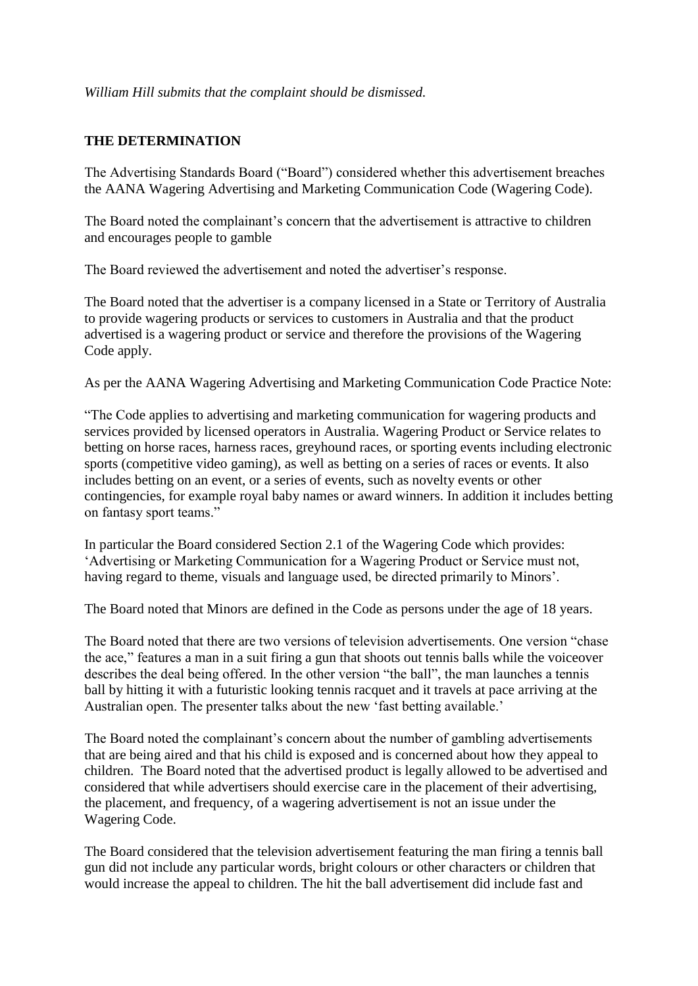## *William Hill submits that the complaint should be dismissed.*

# **THE DETERMINATION**

The Advertising Standards Board ("Board") considered whether this advertisement breaches the AANA Wagering Advertising and Marketing Communication Code (Wagering Code).

The Board noted the complainant's concern that the advertisement is attractive to children and encourages people to gamble

The Board reviewed the advertisement and noted the advertiser's response.

The Board noted that the advertiser is a company licensed in a State or Territory of Australia to provide wagering products or services to customers in Australia and that the product advertised is a wagering product or service and therefore the provisions of the Wagering Code apply.

As per the AANA Wagering Advertising and Marketing Communication Code Practice Note:

"The Code applies to advertising and marketing communication for wagering products and services provided by licensed operators in Australia. Wagering Product or Service relates to betting on horse races, harness races, greyhound races, or sporting events including electronic sports (competitive video gaming), as well as betting on a series of races or events. It also includes betting on an event, or a series of events, such as novelty events or other contingencies, for example royal baby names or award winners. In addition it includes betting on fantasy sport teams."

In particular the Board considered Section 2.1 of the Wagering Code which provides: 'Advertising or Marketing Communication for a Wagering Product or Service must not, having regard to theme, visuals and language used, be directed primarily to Minors'.

The Board noted that Minors are defined in the Code as persons under the age of 18 years.

The Board noted that there are two versions of television advertisements. One version "chase the ace," features a man in a suit firing a gun that shoots out tennis balls while the voiceover describes the deal being offered. In the other version "the ball", the man launches a tennis ball by hitting it with a futuristic looking tennis racquet and it travels at pace arriving at the Australian open. The presenter talks about the new 'fast betting available.'

The Board noted the complainant's concern about the number of gambling advertisements that are being aired and that his child is exposed and is concerned about how they appeal to children. The Board noted that the advertised product is legally allowed to be advertised and considered that while advertisers should exercise care in the placement of their advertising, the placement, and frequency, of a wagering advertisement is not an issue under the Wagering Code.

The Board considered that the television advertisement featuring the man firing a tennis ball gun did not include any particular words, bright colours or other characters or children that would increase the appeal to children. The hit the ball advertisement did include fast and